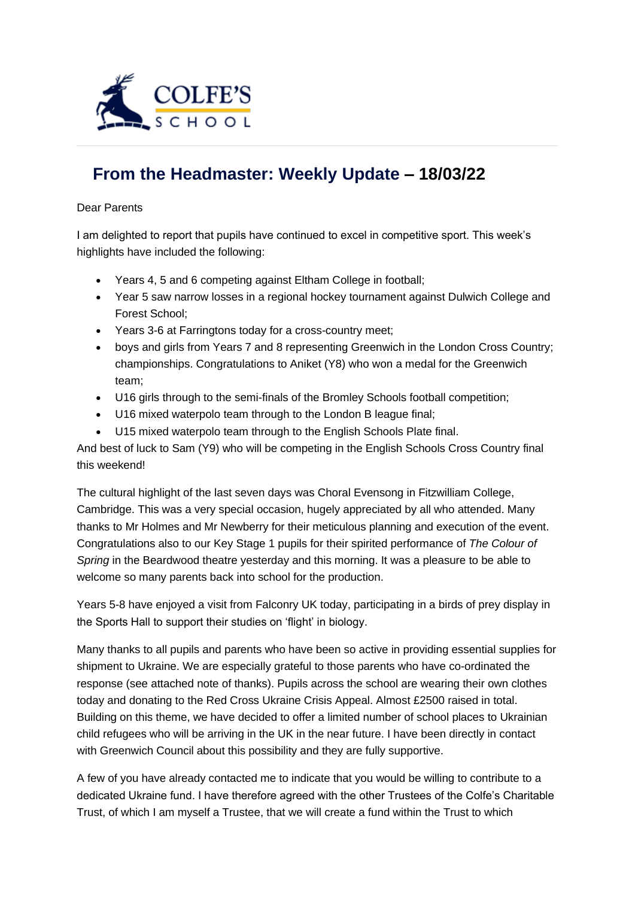

## **[From the Headmaster: Weekly Update](https://urlsand.esvalabs.com/?u=https%3A%2F%2Fschoolpostcdn.blob.core.windows.net%2Fpublic%2F~%2Femail-test-message.html&e=f4e25f66&h=847ca343&f=y&p=y) – 18/03/22**

## Dear Parents

I am delighted to report that pupils have continued to excel in competitive sport. This week's highlights have included the following:

- Years 4, 5 and 6 competing against Eltham College in football;
- Year 5 saw narrow losses in a regional hockey tournament against Dulwich College and Forest School;
- Years 3-6 at Farringtons today for a cross-country meet;
- boys and girls from Years 7 and 8 representing Greenwich in the London Cross Country; championships. Congratulations to Aniket (Y8) who won a medal for the Greenwich team;
- U16 girls through to the semi-finals of the Bromley Schools football competition;
- U16 mixed waterpolo team through to the London B league final;
- U15 mixed waterpolo team through to the English Schools Plate final.

And best of luck to Sam (Y9) who will be competing in the English Schools Cross Country final this weekend!

The cultural highlight of the last seven days was Choral Evensong in Fitzwilliam College, Cambridge. This was a very special occasion, hugely appreciated by all who attended. Many thanks to Mr Holmes and Mr Newberry for their meticulous planning and execution of the event. Congratulations also to our Key Stage 1 pupils for their spirited performance of *The Colour of Spring* in the Beardwood theatre yesterday and this morning. It was a pleasure to be able to welcome so many parents back into school for the production.

Years 5-8 have enjoyed a visit from Falconry UK today, participating in a birds of prey display in the Sports Hall to support their studies on 'flight' in biology.

Many thanks to all pupils and parents who have been so active in providing essential supplies for shipment to Ukraine. We are especially grateful to those parents who have co-ordinated the response (see attached note of thanks). Pupils across the school are wearing their own clothes today and donating to the Red Cross Ukraine Crisis Appeal. Almost £2500 raised in total. Building on this theme, we have decided to offer a limited number of school places to Ukrainian child refugees who will be arriving in the UK in the near future. I have been directly in contact with Greenwich Council about this possibility and they are fully supportive.

A few of you have already contacted me to indicate that you would be willing to contribute to a dedicated Ukraine fund. I have therefore agreed with the other Trustees of the Colfe's Charitable Trust, of which I am myself a Trustee, that we will create a fund within the Trust to which